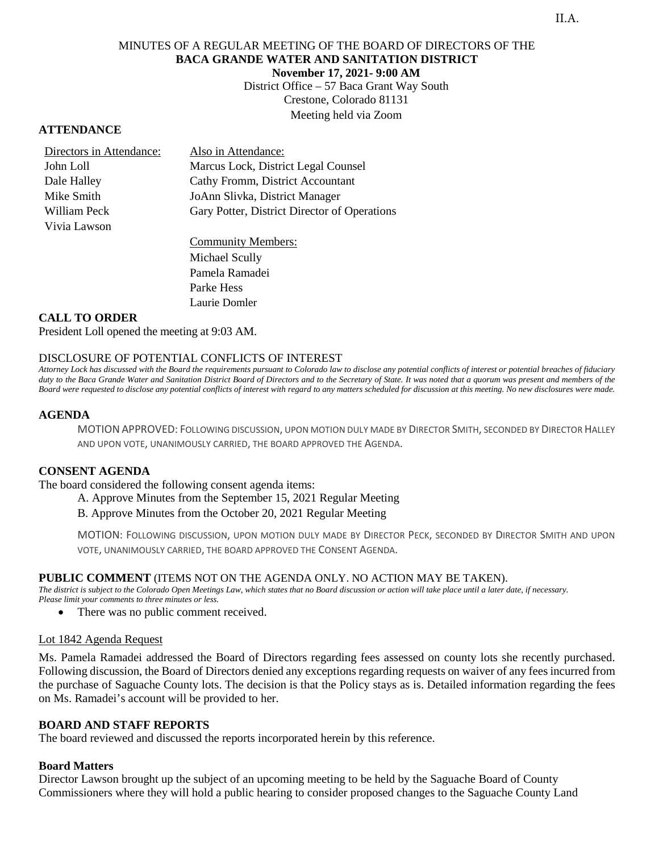# MINUTES OF A REGULAR MEETING OF THE BOARD OF DIRECTORS OF THE **BACA GRANDE WATER AND SANITATION DISTRICT November 17, 2021- 9:00 AM**

District Office – 57 Baca Grant Way South Crestone, Colorado 81131 Meeting held via Zoom

## **ATTENDANCE**

| Directors in Attendance: | Also in Attendance:                          |  |
|--------------------------|----------------------------------------------|--|
| John Loll                | Marcus Lock, District Legal Counsel          |  |
| Dale Halley              | Cathy Fromm, District Accountant             |  |
| Mike Smith               | JoAnn Slivka, District Manager               |  |
| William Peck             | Gary Potter, District Director of Operations |  |
| Vivia Lawson             |                                              |  |
|                          |                                              |  |

Community Members: Michael Scully Pamela Ramadei Parke Hess Laurie Domler

## **CALL TO ORDER**

President Loll opened the meeting at 9:03 AM.

# DISCLOSURE OF POTENTIAL CONFLICTS OF INTEREST

*Attorney Lock has discussed with the Board the requirements pursuant to Colorado law to disclose any potential conflicts of interest or potential breaches of fiduciary duty to the Baca Grande Water and Sanitation District Board of Directors and to the Secretary of State. It was noted that a quorum was present and members of the Board were requested to disclose any potential conflicts of interest with regard to any matters scheduled for discussion at this meeting. No new disclosures were made.*

### **AGENDA**

MOTIONAPPROVED: FOLLOWING DISCUSSION, UPON MOTION DULY MADE BY DIRECTOR SMITH, SECONDED BY DIRECTORHALLEY AND UPON VOTE, UNANIMOUSLY CARRIED, THE BOARD APPROVED THE AGENDA.

### **CONSENT AGENDA**

The board considered the following consent agenda items:

A. Approve Minutes from the September 15, 2021 Regular Meeting

B. Approve Minutes from the October 20, 2021 Regular Meeting

MOTION: FOLLOWING DISCUSSION, UPON MOTION DULY MADE BY DIRECTOR PECK, SECONDED BY DIRECTOR SMITH AND UPON VOTE, UNANIMOUSLY CARRIED, THE BOARD APPROVED THE CONSENT AGENDA.

### **PUBLIC COMMENT** (ITEMS NOT ON THE AGENDA ONLY. NO ACTION MAY BE TAKEN).

*The district is subject to the Colorado Open Meetings Law, which states that no Board discussion or action will take place until a later date, if necessary. Please limit your comments to three minutes or less.* 

• There was no public comment received.

### Lot 1842 Agenda Request

Ms. Pamela Ramadei addressed the Board of Directors regarding fees assessed on county lots she recently purchased. Following discussion, the Board of Directors denied any exceptions regarding requests on waiver of any fees incurred from the purchase of Saguache County lots. The decision is that the Policy stays as is. Detailed information regarding the fees on Ms. Ramadei's account will be provided to her.

### **BOARD AND STAFF REPORTS**

The board reviewed and discussed the reports incorporated herein by this reference.

### **Board Matters**

Director Lawson brought up the subject of an upcoming meeting to be held by the Saguache Board of County Commissioners where they will hold a public hearing to consider proposed changes to the Saguache County Land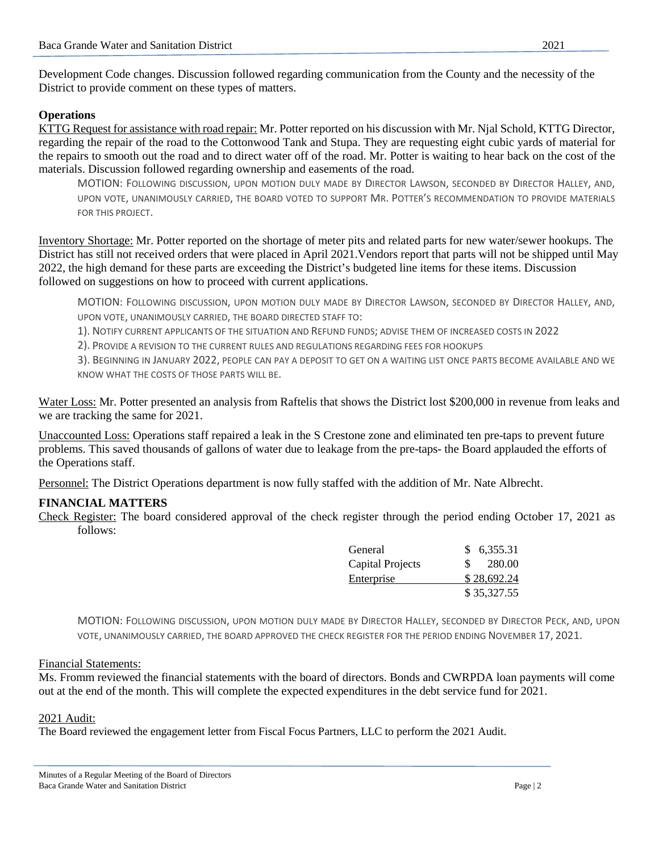Development Code changes. Discussion followed regarding communication from the County and the necessity of the District to provide comment on these types of matters.

# **Operations**

KTTG Request for assistance with road repair: Mr. Potter reported on his discussion with Mr. Njal Schold, KTTG Director, regarding the repair of the road to the Cottonwood Tank and Stupa. They are requesting eight cubic yards of material for the repairs to smooth out the road and to direct water off of the road. Mr. Potter is waiting to hear back on the cost of the materials. Discussion followed regarding ownership and easements of the road.

MOTION: FOLLOWING DISCUSSION, UPON MOTION DULY MADE BY DIRECTOR LAWSON, SECONDED BY DIRECTOR HALLEY, AND, UPON VOTE, UNANIMOUSLY CARRIED, THE BOARD VOTED TO SUPPORT MR. POTTER'S RECOMMENDATION TO PROVIDE MATERIALS FOR THIS PROJECT.

Inventory Shortage: Mr. Potter reported on the shortage of meter pits and related parts for new water/sewer hookups. The District has still not received orders that were placed in April 2021.Vendors report that parts will not be shipped until May 2022, the high demand for these parts are exceeding the District's budgeted line items for these items. Discussion followed on suggestions on how to proceed with current applications.

MOTION: FOLLOWING DISCUSSION, UPON MOTION DULY MADE BY DIRECTOR LAWSON, SECONDED BY DIRECTOR HALLEY, AND, UPON VOTE, UNANIMOUSLY CARRIED, THE BOARD DIRECTED STAFF TO:

1). NOTIFY CURRENT APPLICANTS OF THE SITUATION AND REFUND FUNDS; ADVISE THEM OF INCREASED COSTS IN 2022

2). PROVIDE A REVISION TO THE CURRENT RULES AND REGULATIONS REGARDING FEES FOR HOOKUPS

3). BEGINNING IN JANUARY 2022, PEOPLE CAN PAY A DEPOSIT TO GET ON A WAITING LIST ONCE PARTS BECOME AVAILABLE AND WE KNOW WHAT THE COSTS OF THOSE PARTS WILL BE.

Water Loss: Mr. Potter presented an analysis from Raftelis that shows the District lost \$200,000 in revenue from leaks and we are tracking the same for 2021.

Unaccounted Loss: Operations staff repaired a leak in the S Crestone zone and eliminated ten pre-taps to prevent future problems. This saved thousands of gallons of water due to leakage from the pre-taps- the Board applauded the efforts of the Operations staff.

Personnel: The District Operations department is now fully staffed with the addition of Mr. Nate Albrecht.

# **FINANCIAL MATTERS**

Check Register: The board considered approval of the check register through the period ending October 17, 2021 as follows:

| General          |   | \$6,355.31  |
|------------------|---|-------------|
| Capital Projects | S | 280.00      |
| Enterprise       |   | \$28,692.24 |
|                  |   | \$35,327.55 |

MOTION: FOLLOWING DISCUSSION, UPON MOTION DULY MADE BY DIRECTOR HALLEY, SECONDED BY DIRECTOR PECK, AND, UPON VOTE, UNANIMOUSLY CARRIED, THE BOARD APPROVED THE CHECK REGISTER FOR THE PERIOD ENDING NOVEMBER 17, 2021.

### Financial Statements:

Ms. Fromm reviewed the financial statements with the board of directors. Bonds and CWRPDA loan payments will come out at the end of the month. This will complete the expected expenditures in the debt service fund for 2021.

# 2021 Audit:

The Board reviewed the engagement letter from Fiscal Focus Partners, LLC to perform the 2021 Audit.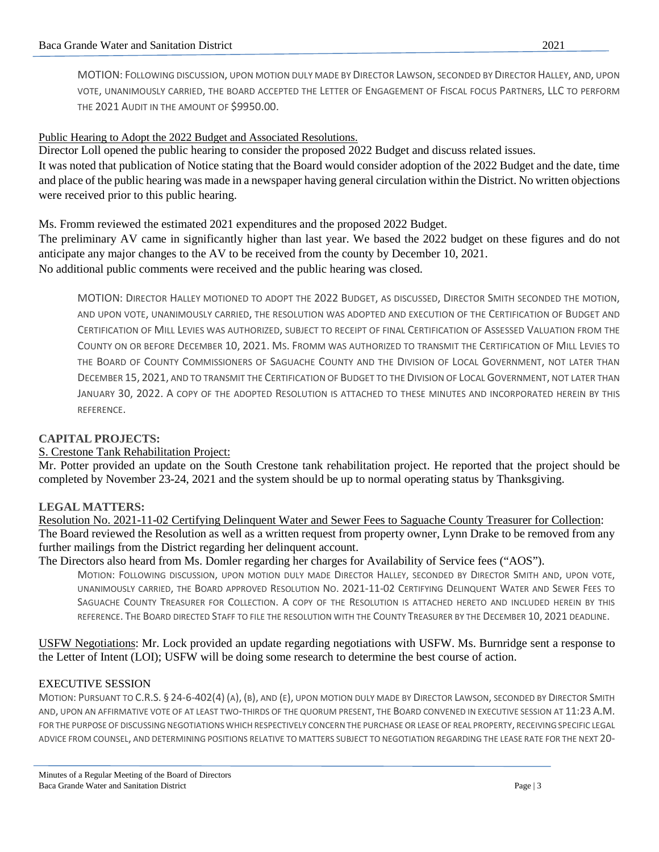MOTION: FOLLOWING DISCUSSION, UPON MOTION DULY MADE BY DIRECTOR LAWSON, SECONDED BY DIRECTOR HALLEY, AND, UPON VOTE, UNANIMOUSLY CARRIED, THE BOARD ACCEPTED THE LETTER OF ENGAGEMENT OF FISCAL FOCUS PARTNERS, LLC TO PERFORM THE 2021 AUDIT IN THE AMOUNT OF \$9950.00.

## Public Hearing to Adopt the 2022 Budget and Associated Resolutions.

Director Loll opened the public hearing to consider the proposed 2022 Budget and discuss related issues. It was noted that publication of Notice stating that the Board would consider adoption of the 2022 Budget and the date, time and place of the public hearing was made in a newspaper having general circulation within the District. No written objections were received prior to this public hearing.

Ms. Fromm reviewed the estimated 2021 expenditures and the proposed 2022 Budget.

The preliminary AV came in significantly higher than last year. We based the 2022 budget on these figures and do not anticipate any major changes to the AV to be received from the county by December 10, 2021. No additional public comments were received and the public hearing was closed.

MOTION: DIRECTOR HALLEY MOTIONED TO ADOPT THE 2022 BUDGET, AS DISCUSSED, DIRECTOR SMITH SECONDED THE MOTION, AND UPON VOTE, UNANIMOUSLY CARRIED, THE RESOLUTION WAS ADOPTED AND EXECUTION OF THE CERTIFICATION OF BUDGET AND CERTIFICATION OF MILL LEVIES WAS AUTHORIZED, SUBJECT TO RECEIPT OF FINAL CERTIFICATION OF ASSESSED VALUATION FROM THE COUNTY ON OR BEFORE DECEMBER 10, 2021. MS. FROMM WAS AUTHORIZED TO TRANSMIT THE CERTIFICATION OF MILL LEVIES TO THE BOARD OF COUNTY COMMISSIONERS OF SAGUACHE COUNTY AND THE DIVISION OF LOCAL GOVERNMENT, NOT LATER THAN DECEMBER 15, 2021, AND TO TRANSMIT THE CERTIFICATION OF BUDGET TO THE DIVISION OF LOCAL GOVERNMENT, NOT LATER THAN JANUARY 30, 2022. A COPY OF THE ADOPTED RESOLUTION IS ATTACHED TO THESE MINUTES AND INCORPORATED HEREIN BY THIS REFERENCE.

# **CAPITAL PROJECTS:**

# S. Crestone Tank Rehabilitation Project:

Mr. Potter provided an update on the South Crestone tank rehabilitation project. He reported that the project should be completed by November 23-24, 2021 and the system should be up to normal operating status by Thanksgiving.

# **LEGAL MATTERS:**

Resolution No. 2021-11-02 Certifying Delinquent Water and Sewer Fees to Saguache County Treasurer for Collection: The Board reviewed the Resolution as well as a written request from property owner, Lynn Drake to be removed from any further mailings from the District regarding her delinquent account.

The Directors also heard from Ms. Domler regarding her charges for Availability of Service fees ("AOS").

MOTION: FOLLOWING DISCUSSION, UPON MOTION DULY MADE DIRECTOR HALLEY, SECONDED BY DIRECTOR SMITH AND, UPON VOTE, UNANIMOUSLY CARRIED, THE BOARD APPROVED RESOLUTION NO. 2021-11-02 CERTIFYING DELINQUENT WATER AND SEWER FEES TO SAGUACHE COUNTY TREASURER FOR COLLECTION. A COPY OF THE RESOLUTION IS ATTACHED HERETO AND INCLUDED HEREIN BY THIS REFERENCE. THE BOARD DIRECTED STAFF TO FILE THE RESOLUTION WITH THE COUNTY TREASURER BY THE DECEMBER 10, 2021 DEADLINE.

USFW Negotiations: Mr. Lock provided an update regarding negotiations with USFW. Ms. Burnridge sent a response to the Letter of Intent (LOI); USFW will be doing some research to determine the best course of action.

# EXECUTIVE SESSION

MOTION: PURSUANT TO C.R.S. § 24-6-402(4) (A), (B), AND (E), UPON MOTION DULY MADE BY DIRECTOR LAWSON, SECONDED BY DIRECTOR SMITH AND, UPON AN AFFIRMATIVE VOTE OF AT LEAST TWO-THIRDS OF THE QUORUM PRESENT, THE BOARD CONVENED IN EXECUTIVE SESSION AT 11:23 A.M. FOR THE PURPOSE OF DISCUSSING NEGOTIATIONS WHICH RESPECTIVELY CONCERN THE PURCHASE OR LEASE OF REAL PROPERTY, RECEIVING SPECIFIC LEGAL ADVICE FROM COUNSEL, AND DETERMINING POSITIONS RELATIVE TO MATTERS SUBJECT TO NEGOTIATION REGARDING THE LEASE RATE FOR THE NEXT 20-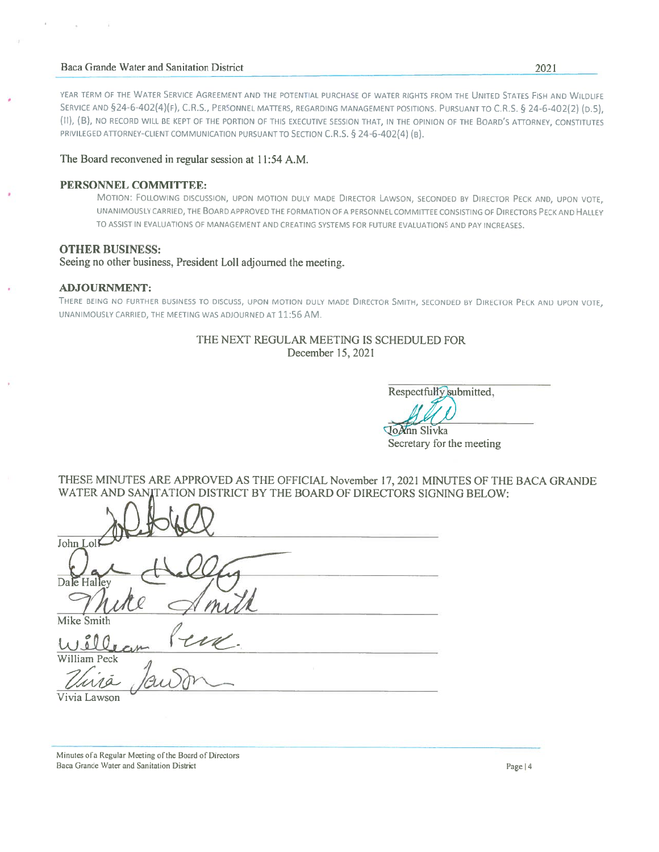#### Baca Grande Water and Sanitation District

YEAR TERM OF THE WATER SERVICE AGREEMENT AND THE POTENTIAL PURCHASE OF WATER RIGHTS FROM THE UNITED STATES FISH AND WILDLIFE SERVICE AND §24-6-402(4)(F), C.R.S., PERSONNEL MATTERS, REGARDING MANAGEMENT POSITIONS. PURSUANT TO C.R.S. § 24-6-402(2) (D.S). (II), (B), NO RECORD WILL BE KEPT OF THE PORTION OF THIS EXECUTIVE SESSION THAT, IN THE OPINION OF THE BOARD'S ATTORNEY, CONSTITUTES PRIVILEGED ATTORNEY-CLIENT COMMUNICATION PURSUANT TO SECTION C.R.S. § 24-6-402(4) (B).

## The Board reconvened in regular session at 11:54 A.M.

### PERSONNEL COMMITTEE:

MOTION: FOLLOWING DISCUSSION, UPON MOTION DULY MADE DIRECTOR LAWSON, SECONDED BY DIRECTOR PECK AND, UPON VOTE, UNANIMOUSLY CARRIED, THE BOARD APPROVED THE FORMATION OF A PERSONNEL COMMITTEE CONSISTING OF DIRECTORS PECK AND HALLEY TO ASSIST IN EVALUATIONS OF MANAGEMENT AND CREATING SYSTEMS FOR FUTURE EVALUATIONS AND PAY INCREASES.

#### **OTHER BUSINESS:**

Seeing no other business, President Loll adjourned the meeting.

#### **ADJOURNMENT:**

THERE BEING NO FURTHER BUSINESS TO DISCUSS, UPON MOTION DULY MADE DIRECTOR SMITH, SECONDED BY DIRECTOR PECK AND UPON VOTE, UNANIMOUSLY CARRIED, THE MEETING WAS ADJOURNED AT 11:56 AM.

#### THE NEXT REGULAR MEETING IS SCHEDULED FOR December 15, 2021

Respectfully submitted.

JoAnn Slivka Secretary for the meeting

THESE MINUTES ARE APPROVED AS THE OFFICIAL November 17, 2021 MINUTES OF THE BACA GRANDE WATER AND SANITATION DISTRICT BY THE BOARD OF DIRECTORS SIGNING BELOW:

| John Loll                  |
|----------------------------|
| Dale Halley                |
| Mike Smith                 |
| $\epsilon$<br>William Peck |
|                            |
| Vivia Lawson               |

Minutes of a Regular Meeting of the Board of Directors Baca Grande Water and Sanitation District